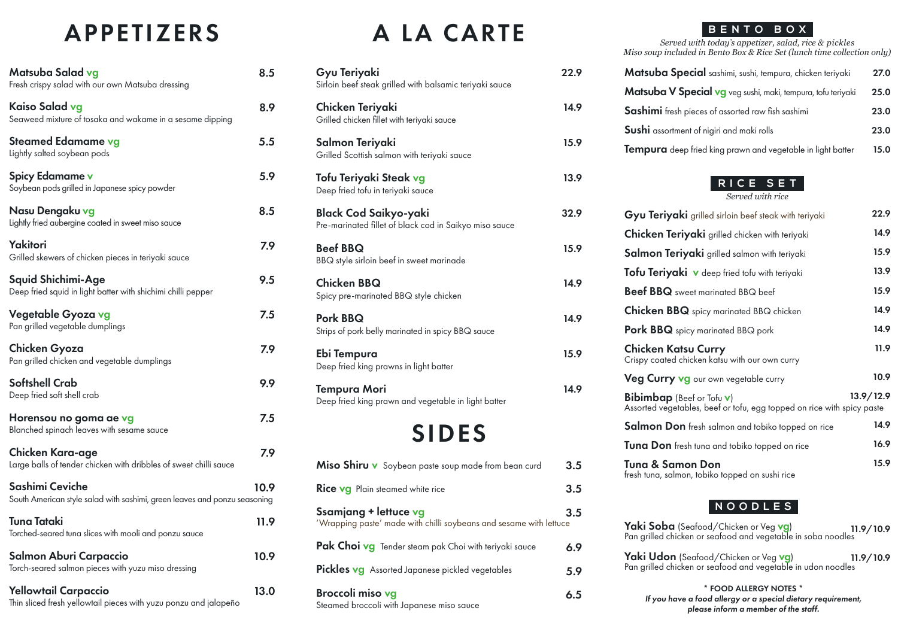### APPETIZERS

| Matsuba Salad vg<br>Fresh crispy salad with our own Matsuba dressing                            | 8.5  |
|-------------------------------------------------------------------------------------------------|------|
| Kaiso Salad vg<br>Seaweed mixture of tosaka and wakame in a sesame dipping                      | 8.9  |
| Steamed Edamame vg<br>Lightly salted soybean pods                                               | 5.5  |
| <b>Spicy Edamame v</b><br>Soybean pods grilled in Japanese spicy powder                         | 5.9  |
| Nasu Dengaku vg<br>Lightly fried aubergine coated in sweet miso sauce                           | 8.5  |
| Yakitori<br>Grilled skewers of chicken pieces in teriyaki sauce                                 | 7.9  |
| Squid Shichimi-Age<br>Deep fried squid in light batter with shichimi chilli pepper              | 9.5  |
| Vegetable Gyoza vg<br>Pan grilled vegetable dumplings                                           | 7.5  |
| Chicken Gyoza<br>Pan grilled chicken and vegetable dumplings                                    | 7.9  |
| <b>Softshell Crab</b><br>Deep fried soft shell crab                                             | 9.9  |
| Horensou no goma ae vg<br>Blanched spinach leaves with sesame sauce                             | 7.5  |
| Chicken Kara-age<br>Large balls of tender chicken with dribbles of sweet chilli sauce           | 7.9  |
| Sashimi Ceviche<br>South American style salad with sashimi, green leaves and ponzu seasoning    | 10.9 |
| <b>Tuna Tataki</b><br>Torched-seared tuna slices with mooli and ponzu sauce                     | 11.9 |
| Salmon Aburi Carpaccio<br>Torch-seared salmon pieces with yuzu miso dressing                    | 10.9 |
| <b>Yellowtail Carpaccio</b><br>Thin sliced fresh yellowtail pieces with yuzu ponzu and jalapeño | 13.0 |

## A LA CARTE

22.9

Gyu Teriyaki

| Sirloin beef steak grilled with balsamic teriyaki sauce                                     |      |
|---------------------------------------------------------------------------------------------|------|
| Chicken Teriyaki<br>Grilled chicken fillet with teriyaki sauce                              | 14.9 |
| Salmon Teriyaki<br>Grilled Scottish salmon with teriyaki sauce                              | 15.9 |
| Tofu Teriyaki Steak vg<br>Deep fried tofu in teriyaki sauce                                 | 13.9 |
| <b>Black Cod Saikyo-yaki</b><br>Pre-marinated fillet of black cod in Saikyo miso sauce      | 32.9 |
| <b>Beef BBQ</b><br>BBQ style sirloin beef in sweet marinade                                 | 15.9 |
| <b>Chicken BBQ</b><br>Spicy pre-marinated BBQ style chicken                                 | 14.9 |
| Pork BBQ<br>Strips of pork belly marinated in spicy BBQ sauce                               | 14.9 |
| Ebi Tempura<br>Deep fried king prawns in light batter                                       | 15.9 |
| <b>Tempura Mori</b><br>Deep fried king prawn and vegetable in light batter                  | 14.9 |
| <b>SIDES</b>                                                                                |      |
| Miso Shiru v Soybean paste soup made from bean curd                                         | 3.5  |
| Rice vg Plain steamed white rice                                                            | 3.5  |
| Ssamjang + lettuce vg<br>'Wrapping paste' made with chilli soybeans and sesame with lettuce | 3.5  |
| Pak Choi vg Tender steam pak Choi with teriyaki sauce                                       | 6.9  |
| <b>Pickles vg</b> Assorted Japanese pickled vegetables                                      | 5.9  |
| Broccoli miso vg<br>Steamed broccoli with Japanese miso sauce                               | 6.5  |
|                                                                                             |      |

#### **BENTO BOX**

*Served with today's appetizer, salad, rice & pickles Miso soup included in Bento Box & Rice Set (lunch time collection only)*

| Matsuba Special sashimi, sushi, tempura, chicken teriyaki    | 27.0 |
|--------------------------------------------------------------|------|
| Matsuba V Special vg veg sushi, maki, tempura, tofu teriyaki | 25.0 |
| Sashimi fresh pieces of assorted raw fish sashimi            | 23.0 |
| Sushi assortment of nigiri and maki rolls                    | 23.0 |
| Tempura deep fried king prawn and vegetable in light batter  | 15.0 |

#### **RICE SET**

*Served with rice*

| Gyu Teriyaki grilled sirloin beef steak with teriyaki                                                              | 22.9      |
|--------------------------------------------------------------------------------------------------------------------|-----------|
| <b>Chicken Teriyaki</b> grilled chicken with teriyaki                                                              | 14.9      |
| Salmon Teriyaki grilled salmon with teriyaki                                                                       | 15.9      |
| Tofu Teriyaki v deep fried tofu with teriyaki                                                                      | 13.9      |
| <b>Beef BBQ</b> sweet marinated BBQ beef                                                                           | 15.9      |
| <b>Chicken BBQ</b> spicy marinated BBQ chicken                                                                     | 14.9      |
| <b>Pork BBQ</b> spicy marinated BBQ pork                                                                           | 14.9      |
| Chicken Katsu Curry<br>Crispy coated chicken katsu with our own curry                                              | 11.9      |
| Veg Curry vg our own vegetable curry                                                                               | 10.9      |
| <b>Bibimbap</b> (Beef or Tofu <b>v</b> )<br>Assorted vegetables, beef or tofu, egg topped on rice with spicy paste | 13.9/12.9 |
| Salmon Don fresh salmon and tobiko topped on rice                                                                  | 14.9      |
| <b>Tuna Don</b> fresh tuna and tobiko topped on rice                                                               | 16.9      |
| Tuna & Samon Don<br>fresh tuna, salmon, tobiko topped on sushi rice                                                | 15.9      |

#### **NOODLES**

| Yaki Soba (Seafood/Chicken or Veg vg) 11.9/10.9<br>Pan grilled chicken or seafood and vegetable in soba noodles                   |  |
|-----------------------------------------------------------------------------------------------------------------------------------|--|
| <b>Yaki Udon</b> (Seafood/Chicken or Veg <b>vg</b> )<br>Pan grilled chicken or seafood and vegetable in udon noodles<br>11.9/10.9 |  |
| * FOOD ALLERGY NOTES *<br>If you have a food allergy or a special dietary requirement,<br>please inform a member of the staff.    |  |